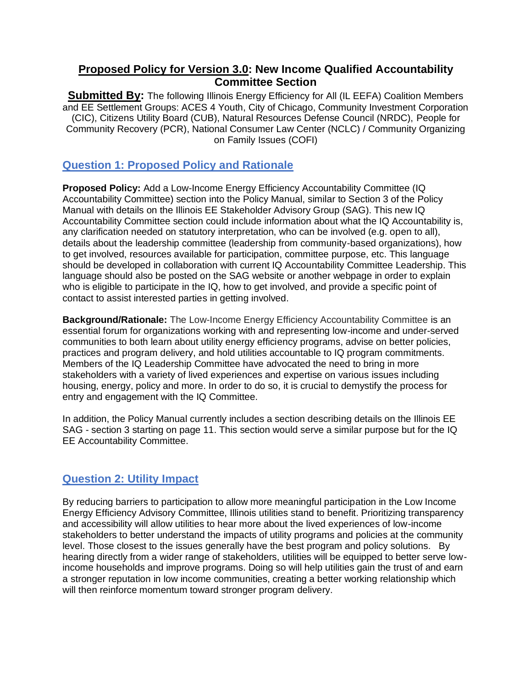## **Proposed Policy for Version 3.0: New Income Qualified Accountability Committee Section**

**Submitted By:** The following Illinois Energy Efficiency for All (IL EEFA) Coalition Members and EE Settlement Groups: ACES 4 Youth, City of Chicago, Community Investment Corporation (CIC), Citizens Utility Board (CUB), Natural Resources Defense Council (NRDC), People for Community Recovery (PCR), National Consumer Law Center (NCLC) / Community Organizing on Family Issues (COFI)

## **Question 1: Proposed Policy and Rationale**

**Proposed Policy:** Add a Low-Income Energy Efficiency Accountability Committee (IQ Accountability Committee) section into the Policy Manual, similar to Section 3 of the Policy Manual with details on the Illinois EE Stakeholder Advisory Group (SAG). This new IQ Accountability Committee section could include information about what the IQ Accountability is, any clarification needed on statutory interpretation, who can be involved (e.g. open to all), details about the leadership committee (leadership from community-based organizations), how to get involved, resources available for participation, committee purpose, etc. This language should be developed in collaboration with current IQ Accountability Committee Leadership. This language should also be posted on the SAG website or another webpage in order to explain who is eligible to participate in the IQ, how to get involved, and provide a specific point of contact to assist interested parties in getting involved.

**Background/Rationale:** The Low-Income Energy Efficiency Accountability Committee is an essential forum for organizations working with and representing low-income and under-served communities to both learn about utility energy efficiency programs, advise on better policies, practices and program delivery, and hold utilities accountable to IQ program commitments. Members of the IQ Leadership Committee have advocated the need to bring in more stakeholders with a variety of lived experiences and expertise on various issues including housing, energy, policy and more. In order to do so, it is crucial to demystify the process for entry and engagement with the IQ Committee.

In addition, the Policy Manual currently includes a section describing details on the Illinois EE SAG - section 3 starting on page 11. This section would serve a similar purpose but for the IQ EE Accountability Committee.

# **Question 2: Utility Impact**

By reducing barriers to participation to allow more meaningful participation in the Low Income Energy Efficiency Advisory Committee, Illinois utilities stand to benefit. Prioritizing transparency and accessibility will allow utilities to hear more about the lived experiences of low-income stakeholders to better understand the impacts of utility programs and policies at the community level. Those closest to the issues generally have the best program and policy solutions. By hearing directly from a wider range of stakeholders, utilities will be equipped to better serve lowincome households and improve programs. Doing so will help utilities gain the trust of and earn a stronger reputation in low income communities, creating a better working relationship which will then reinforce momentum toward stronger program delivery.